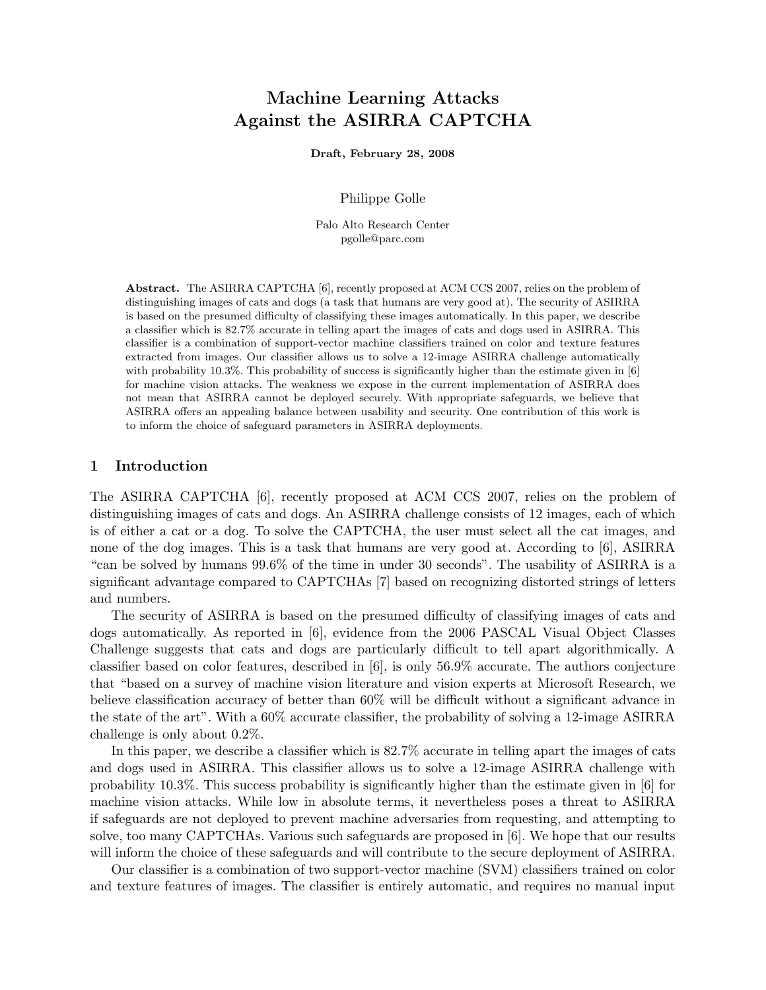# Machine Learning Attacks Against the ASIRRA CAPTCHA

Draft, February 28, 2008

Philippe Golle

Palo Alto Research Center pgolle@parc.com

Abstract. The ASIRRA CAPTCHA [6], recently proposed at ACM CCS 2007, relies on the problem of distinguishing images of cats and dogs (a task that humans are very good at). The security of ASIRRA is based on the presumed difficulty of classifying these images automatically. In this paper, we describe a classifier which is 82.7% accurate in telling apart the images of cats and dogs used in ASIRRA. This classifier is a combination of support-vector machine classifiers trained on color and texture features extracted from images. Our classifier allows us to solve a 12-image ASIRRA challenge automatically with probability 10.3%. This probability of success is significantly higher than the estimate given in [6] for machine vision attacks. The weakness we expose in the current implementation of ASIRRA does not mean that ASIRRA cannot be deployed securely. With appropriate safeguards, we believe that ASIRRA offers an appealing balance between usability and security. One contribution of this work is to inform the choice of safeguard parameters in ASIRRA deployments.

#### 1 Introduction

The ASIRRA CAPTCHA [6], recently proposed at ACM CCS 2007, relies on the problem of distinguishing images of cats and dogs. An ASIRRA challenge consists of 12 images, each of which is of either a cat or a dog. To solve the CAPTCHA, the user must select all the cat images, and none of the dog images. This is a task that humans are very good at. According to [6], ASIRRA "can be solved by humans 99.6% of the time in under 30 seconds". The usability of ASIRRA is a significant advantage compared to CAPTCHAs [7] based on recognizing distorted strings of letters and numbers.

The security of ASIRRA is based on the presumed difficulty of classifying images of cats and dogs automatically. As reported in [6], evidence from the 2006 PASCAL Visual Object Classes Challenge suggests that cats and dogs are particularly difficult to tell apart algorithmically. A classifier based on color features, described in [6], is only 56.9% accurate. The authors conjecture that "based on a survey of machine vision literature and vision experts at Microsoft Research, we believe classification accuracy of better than 60% will be difficult without a significant advance in the state of the art". With a 60% accurate classifier, the probability of solving a 12-image ASIRRA challenge is only about 0.2%.

In this paper, we describe a classifier which is 82.7% accurate in telling apart the images of cats and dogs used in ASIRRA. This classifier allows us to solve a 12-image ASIRRA challenge with probability 10.3%. This success probability is significantly higher than the estimate given in [6] for machine vision attacks. While low in absolute terms, it nevertheless poses a threat to ASIRRA if safeguards are not deployed to prevent machine adversaries from requesting, and attempting to solve, too many CAPTCHAs. Various such safeguards are proposed in [6]. We hope that our results will inform the choice of these safeguards and will contribute to the secure deployment of ASIRRA.

Our classifier is a combination of two support-vector machine (SVM) classifiers trained on color and texture features of images. The classifier is entirely automatic, and requires no manual input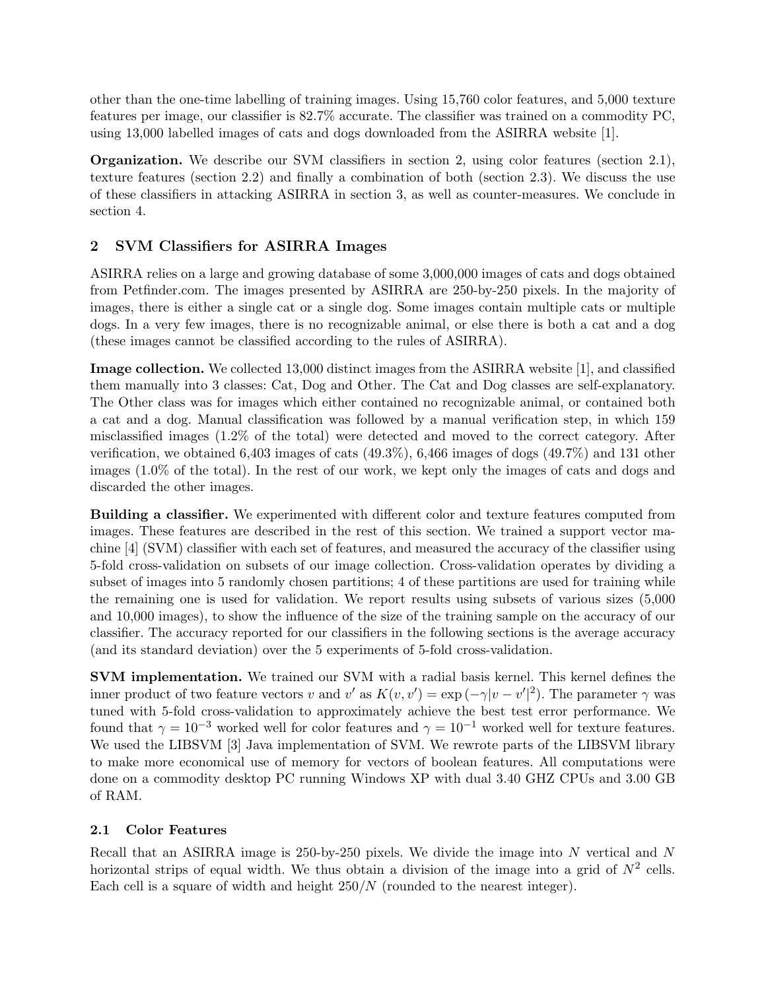other than the one-time labelling of training images. Using 15,760 color features, and 5,000 texture features per image, our classifier is 82.7% accurate. The classifier was trained on a commodity PC, using 13,000 labelled images of cats and dogs downloaded from the ASIRRA website [1].

Organization. We describe our SVM classifiers in section 2, using color features (section 2.1), texture features (section 2.2) and finally a combination of both (section 2.3). We discuss the use of these classifiers in attacking ASIRRA in section 3, as well as counter-measures. We conclude in section 4.

# 2 SVM Classifiers for ASIRRA Images

ASIRRA relies on a large and growing database of some 3,000,000 images of cats and dogs obtained from Petfinder.com. The images presented by ASIRRA are 250-by-250 pixels. In the majority of images, there is either a single cat or a single dog. Some images contain multiple cats or multiple dogs. In a very few images, there is no recognizable animal, or else there is both a cat and a dog (these images cannot be classified according to the rules of ASIRRA).

Image collection. We collected 13,000 distinct images from the ASIRRA website [1], and classified them manually into 3 classes: Cat, Dog and Other. The Cat and Dog classes are self-explanatory. The Other class was for images which either contained no recognizable animal, or contained both a cat and a dog. Manual classification was followed by a manual verification step, in which 159 misclassified images (1.2% of the total) were detected and moved to the correct category. After verification, we obtained 6,403 images of cats (49.3%), 6,466 images of dogs (49.7%) and 131 other images (1.0% of the total). In the rest of our work, we kept only the images of cats and dogs and discarded the other images.

Building a classifier. We experimented with different color and texture features computed from images. These features are described in the rest of this section. We trained a support vector machine [4] (SVM) classifier with each set of features, and measured the accuracy of the classifier using 5-fold cross-validation on subsets of our image collection. Cross-validation operates by dividing a subset of images into 5 randomly chosen partitions; 4 of these partitions are used for training while the remaining one is used for validation. We report results using subsets of various sizes (5,000 and 10,000 images), to show the influence of the size of the training sample on the accuracy of our classifier. The accuracy reported for our classifiers in the following sections is the average accuracy (and its standard deviation) over the 5 experiments of 5-fold cross-validation.

SVM implementation. We trained our SVM with a radial basis kernel. This kernel defines the inner product of two feature vectors v and v' as  $K(v, v') = \exp(-\gamma |v - v'|^2)$ . The parameter  $\gamma$  was tuned with 5-fold cross-validation to approximately achieve the best test error performance. We found that  $\gamma = 10^{-3}$  worked well for color features and  $\gamma = 10^{-1}$  worked well for texture features. We used the LIBSVM [3] Java implementation of SVM. We rewrote parts of the LIBSVM library to make more economical use of memory for vectors of boolean features. All computations were done on a commodity desktop PC running Windows XP with dual 3.40 GHZ CPUs and 3.00 GB of RAM.

### 2.1 Color Features

Recall that an ASIRRA image is 250-by-250 pixels. We divide the image into N vertical and N horizontal strips of equal width. We thus obtain a division of the image into a grid of  $N^2$  cells. Each cell is a square of width and height  $250/N$  (rounded to the nearest integer).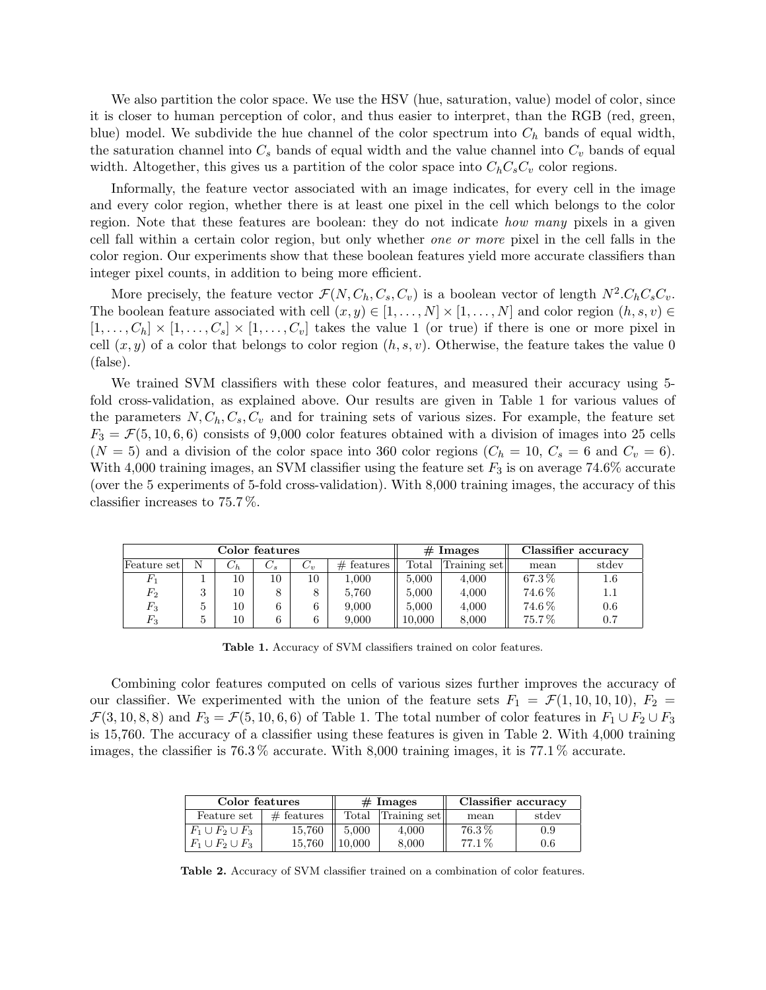We also partition the color space. We use the HSV (hue, saturation, value) model of color, since it is closer to human perception of color, and thus easier to interpret, than the RGB (red, green, blue) model. We subdivide the hue channel of the color spectrum into  $C_h$  bands of equal width, the saturation channel into  $C_s$  bands of equal width and the value channel into  $C_v$  bands of equal width. Altogether, this gives us a partition of the color space into  $C_hC_sC_v$  color regions.

Informally, the feature vector associated with an image indicates, for every cell in the image and every color region, whether there is at least one pixel in the cell which belongs to the color region. Note that these features are boolean: they do not indicate *how many* pixels in a given cell fall within a certain color region, but only whether one or more pixel in the cell falls in the color region. Our experiments show that these boolean features yield more accurate classifiers than integer pixel counts, in addition to being more efficient.

More precisely, the feature vector  $\mathcal{F}(N, C_h, C_s, C_v)$  is a boolean vector of length  $N^2.C_hC_sC_v$ . The boolean feature associated with cell  $(x, y) \in [1, \ldots, N] \times [1, \ldots, N]$  and color region  $(h, s, v) \in$  $[1, \ldots, C_h] \times [1, \ldots, C_s] \times [1, \ldots, C_v]$  takes the value 1 (or true) if there is one or more pixel in cell  $(x, y)$  of a color that belongs to color region  $(h, s, v)$ . Otherwise, the feature takes the value 0 (false).

We trained SVM classifiers with these color features, and measured their accuracy using 5 fold cross-validation, as explained above. Our results are given in Table 1 for various values of the parameters  $N, C_h, C_s, C_v$  and for training sets of various sizes. For example, the feature set  $F_3 = \mathcal{F}(5, 10, 6, 6)$  consists of 9,000 color features obtained with a division of images into 25 cells  $(N = 5)$  and a division of the color space into 360 color regions  $(C_h = 10, C_s = 6$  and  $C_v = 6)$ . With 4,000 training images, an SVM classifier using the feature set  $F_3$  is on average 74.6% accurate (over the 5 experiments of 5-fold cross-validation). With 8,000 training images, the accuracy of this classifier increases to 75.7 %.

| Color features |    |         |         |       |               | $#$ Images |              | Classifier accuracy |         |
|----------------|----|---------|---------|-------|---------------|------------|--------------|---------------------|---------|
| Feature setl   | N  | $C_{h}$ | $C_{s}$ | $C_v$ | #<br>features | Total      | Training set | mean                | stdev   |
| ŀ٦             |    | 10      | 10      | 10    | 000.          | 5.000      | 4.000        | 67.3%               | $1.6\,$ |
| $F_2$          |    | 10      |         |       | 5.760         | 5.000      | 4,000        | 74.6%               | 1.1     |
| $F_3$          | b. | 10      |         | 6     | 9,000         | 5.000      | 4,000        | 74.6%               | 0.6     |
| $F_{\rm 3}$    | b. | 10      |         | 6     | 9,000         | 10,000     | 8.000        | 75.7%               | 0.7     |

Table 1. Accuracy of SVM classifiers trained on color features.

Combining color features computed on cells of various sizes further improves the accuracy of our classifier. We experimented with the union of the feature sets  $F_1 = \mathcal{F}(1, 10, 10, 10)$ ,  $F_2 =$  $\mathcal{F}(3, 10, 8, 8)$  and  $F_3 = \mathcal{F}(5, 10, 6, 6)$  of Table 1. The total number of color features in  $F_1 \cup F_2 \cup F_3$ is 15,760. The accuracy of a classifier using these features is given in Table 2. With 4,000 training images, the classifier is 76.3 % accurate. With 8,000 training images, it is 77.1 % accurate.

| Color features          |              |        | $#$ Images   | Classifier accuracy |       |
|-------------------------|--------------|--------|--------------|---------------------|-------|
| Feature set             | $#$ features |        | Training set | mean                | stdev |
| $F_1 \cup F_2 \cup F_3$ | 15.760       | 5.000  | 4.000        | $76.3\%$            | 0.9   |
| $F_1 \cup F_2 \cup F_3$ | 15.760       | 10,000 | 8.000        | 77.1%               | 0.6   |

Table 2. Accuracy of SVM classifier trained on a combination of color features.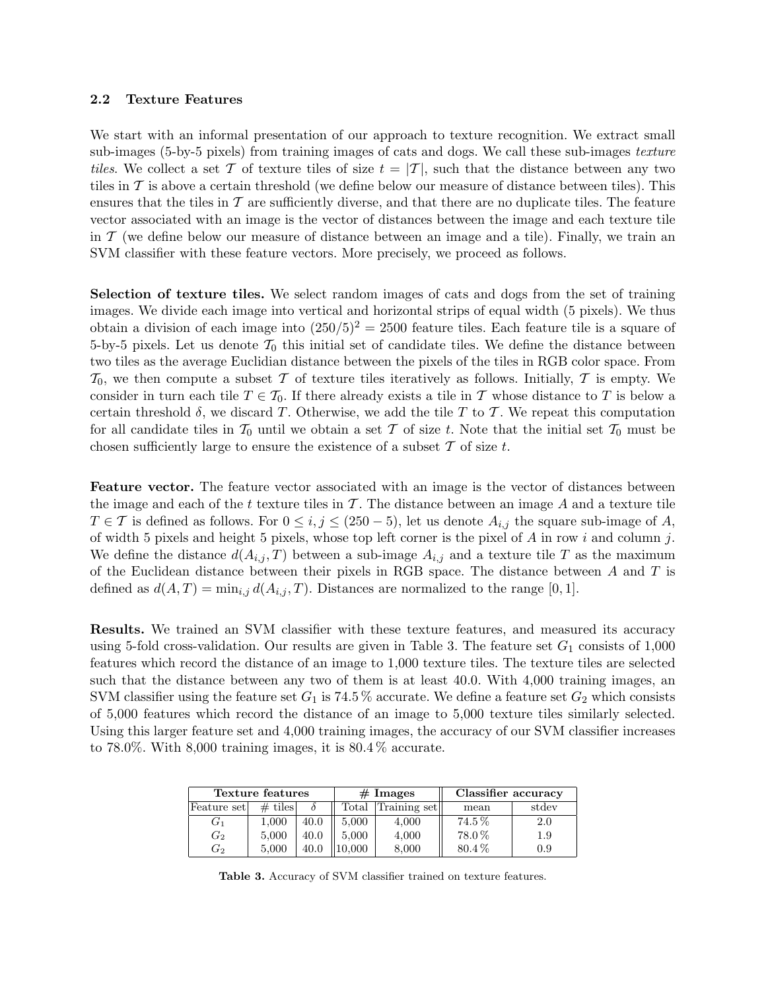#### 2.2 Texture Features

We start with an informal presentation of our approach to texture recognition. We extract small sub-images (5-by-5 pixels) from training images of cats and dogs. We call these sub-images texture tiles. We collect a set T of texture tiles of size  $t = |T|$ , such that the distance between any two tiles in  $\mathcal T$  is above a certain threshold (we define below our measure of distance between tiles). This ensures that the tiles in  $\mathcal T$  are sufficiently diverse, and that there are no duplicate tiles. The feature vector associated with an image is the vector of distances between the image and each texture tile in  $\mathcal T$  (we define below our measure of distance between an image and a tile). Finally, we train an SVM classifier with these feature vectors. More precisely, we proceed as follows.

Selection of texture tiles. We select random images of cats and dogs from the set of training images. We divide each image into vertical and horizontal strips of equal width (5 pixels). We thus obtain a division of each image into  $(250/5)^2 = 2500$  feature tiles. Each feature tile is a square of 5-by-5 pixels. Let us denote  $\mathcal{T}_0$  this initial set of candidate tiles. We define the distance between two tiles as the average Euclidian distance between the pixels of the tiles in RGB color space. From  $\mathcal{T}_0$ , we then compute a subset T of texture tiles iteratively as follows. Initially, T is empty. We consider in turn each tile  $T \in \mathcal{T}_0$ . If there already exists a tile in T whose distance to T is below a certain threshold  $\delta$ , we discard T. Otherwise, we add the tile T to T. We repeat this computation for all candidate tiles in  $\mathcal{T}_0$  until we obtain a set T of size t. Note that the initial set  $\mathcal{T}_0$  must be chosen sufficiently large to ensure the existence of a subset  $\mathcal T$  of size  $t$ .

Feature vector. The feature vector associated with an image is the vector of distances between the image and each of the t texture tiles in  $\mathcal T$ . The distance between an image A and a texture tile  $T \in \mathcal{T}$  is defined as follows. For  $0 \leq i, j \leq (250-5)$ , let us denote  $A_{i,j}$  the square sub-image of A, of width 5 pixels and height 5 pixels, whose top left corner is the pixel of  $A$  in row i and column j. We define the distance  $d(A_{i,j}, T)$  between a sub-image  $A_{i,j}$  and a texture tile T as the maximum of the Euclidean distance between their pixels in RGB space. The distance between  $A$  and  $T$  is defined as  $d(A, T) = \min_{i,j} d(A_{i,j}, T)$ . Distances are normalized to the range [0, 1].

Results. We trained an SVM classifier with these texture features, and measured its accuracy using 5-fold cross-validation. Our results are given in Table 3. The feature set  $G_1$  consists of 1,000 features which record the distance of an image to 1,000 texture tiles. The texture tiles are selected such that the distance between any two of them is at least 40.0. With 4,000 training images, an SVM classifier using the feature set  $G_1$  is 74.5 % accurate. We define a feature set  $G_2$  which consists of 5,000 features which record the distance of an image to 5,000 texture tiles similarly selected. Using this larger feature set and 4,000 training images, the accuracy of our SVM classifier increases to 78.0%. With 8,000 training images, it is 80.4 % accurate.

|                  | Texture features |      |                | $#$ Images   | Classifier accuracy |       |
|------------------|------------------|------|----------------|--------------|---------------------|-------|
| Feature set      | $#$ tiles        |      | $_{\rm Total}$ | Training set | mean                | stdev |
| G1               | $1{,}000$        | 40.0 | 5.000          | 4,000        | $74.5\,\%$          | 2.0   |
| $\mathfrak{G}_2$ | 5,000            | 40.0 | 5.000          | 4,000        | 78.0%               | 1.9   |
| G2               | 5.000            | 40.0 | 0.000          | 8,000        | $80.4\%$            | 0.9   |

Table 3. Accuracy of SVM classifier trained on texture features.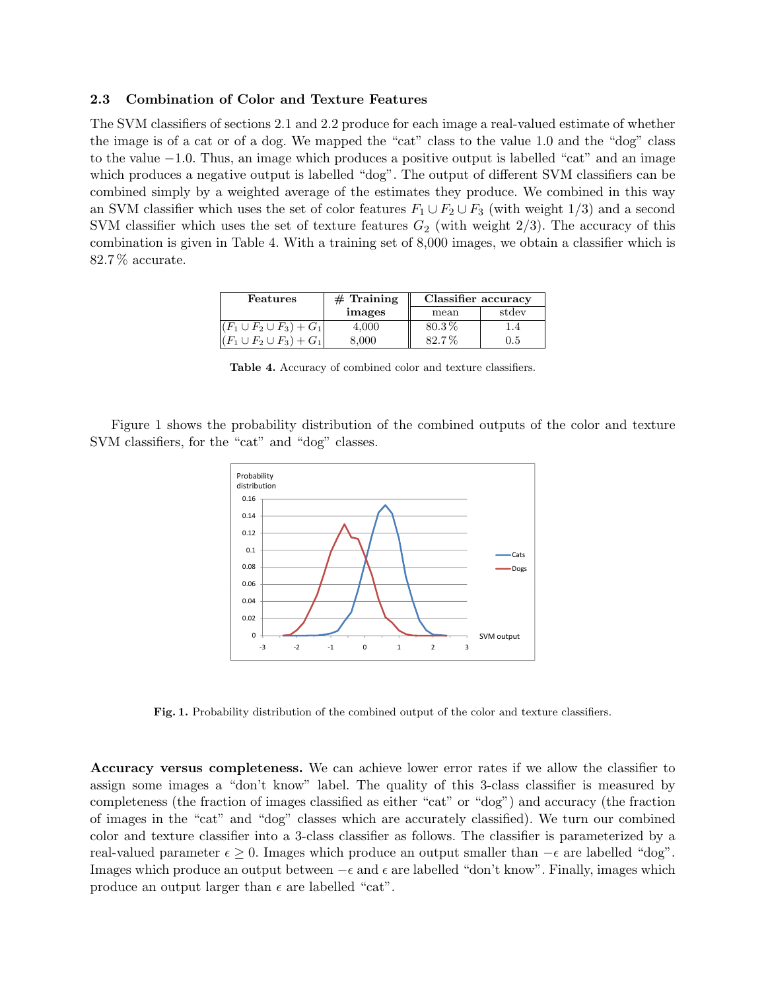#### 2.3 Combination of Color and Texture Features

The SVM classifiers of sections 2.1 and 2.2 produce for each image a real-valued estimate of whether the image is of a cat or of a dog. We mapped the "cat" class to the value 1.0 and the "dog" class to the value −1.0. Thus, an image which produces a positive output is labelled "cat" and an image which produces a negative output is labelled "dog". The output of different SVM classifiers can be combined simply by a weighted average of the estimates they produce. We combined in this way an SVM classifier which uses the set of color features  $F_1 \cup F_2 \cup F_3$  (with weight 1/3) and a second SVM classifier which uses the set of texture features  $G_2$  (with weight  $2/3$ ). The accuracy of this combination is given in Table 4. With a training set of 8,000 images, we obtain a classifier which is 82.7 % accurate.

| Features                        | $#$ Training | Classifier accuracy |         |
|---------------------------------|--------------|---------------------|---------|
|                                 | images       | mean                | stdev   |
| $(F_1 \cup F_2 \cup F_3) + G_1$ | 4,000        | $80.3\%$            | l .4    |
| $(F_1 \cup F_2 \cup F_3) + G_1$ | 8,000        | $82.7\%$            | $0.5\,$ |

Table 4. Accuracy of combined color and texture classifiers.

Figure 1 shows the probability distribution of the combined outputs of the color and texture SVM classifiers, for the "cat" and "dog" classes.



Fig. 1. Probability distribution of the combined output of the color and texture classifiers.

Accuracy versus completeness. We can achieve lower error rates if we allow the classifier to assign some images a "don't know" label. The quality of this 3-class classifier is measured by completeness (the fraction of images classified as either "cat" or "dog") and accuracy (the fraction of images in the "cat" and "dog" classes which are accurately classified). We turn our combined color and texture classifier into a 3-class classifier as follows. The classifier is parameterized by a real-valued parameter  $\epsilon \geq 0$ . Images which produce an output smaller than  $-\epsilon$  are labelled "dog". Images which produce an output between  $-\epsilon$  and  $\epsilon$  are labelled "don't know". Finally, images which produce an output larger than  $\epsilon$  are labelled "cat".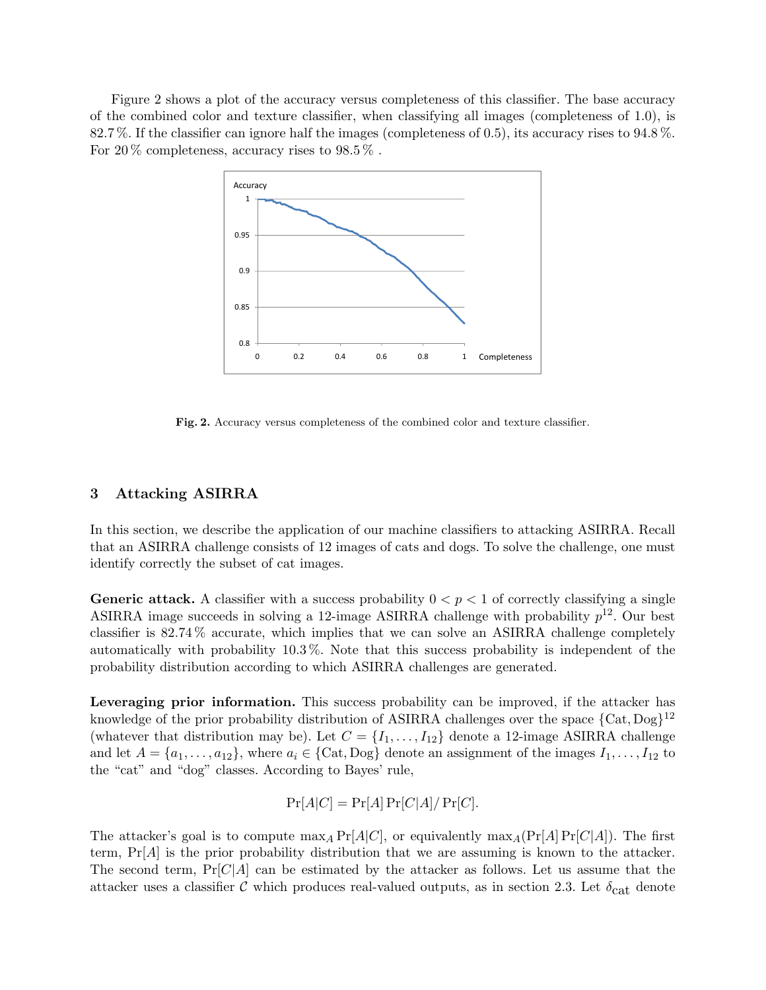Figure 2 shows a plot of the accuracy versus completeness of this classifier. The base accuracy of the combined color and texture classifier, when classifying all images (completeness of 1.0), is 82.7 %. If the classifier can ignore half the images (completeness of 0.5), its accuracy rises to 94.8 %. For 20  $\%$  completeness, accuracy rises to 98.5  $\%$ .



Fig. 2. Accuracy versus completeness of the combined color and texture classifier.

#### 3 Attacking ASIRRA

In this section, we describe the application of our machine classifiers to attacking ASIRRA. Recall that an ASIRRA challenge consists of 12 images of cats and dogs. To solve the challenge, one must identify correctly the subset of cat images.

**Generic attack.** A classifier with a success probability  $0 < p < 1$  of correctly classifying a single ASIRRA image succeeds in solving a 12-image ASIRRA challenge with probability  $p^{12}$ . Our best classifier is 82.74 % accurate, which implies that we can solve an ASIRRA challenge completely automatically with probability 10.3 %. Note that this success probability is independent of the probability distribution according to which ASIRRA challenges are generated.

Leveraging prior information. This success probability can be improved, if the attacker has knowledge of the prior probability distribution of ASIRRA challenges over the space  ${Cat, Dog}^{12}$ (whatever that distribution may be). Let  $C = \{I_1, \ldots, I_{12}\}\$  denote a 12-image ASIRRA challenge and let  $A = \{a_1, \ldots, a_{12}\}\$ , where  $a_i \in \{\text{Cat}, \text{Dog}\}\$  denote an assignment of the images  $I_1, \ldots, I_{12}$  to the "cat" and "dog" classes. According to Bayes' rule,

$$
Pr[A|C] = Pr[A] Pr[C|A]/Pr[C].
$$

The attacker's goal is to compute  $\max_A \Pr[A|C]$ , or equivalently  $\max_A (\Pr[A] \Pr[C|A])$ . The first term,  $Pr[A]$  is the prior probability distribution that we are assuming is known to the attacker. The second term,  $Pr[C|A]$  can be estimated by the attacker as follows. Let us assume that the attacker uses a classifier C which produces real-valued outputs, as in section 2.3. Let  $\delta_{\text{cat}}$  denote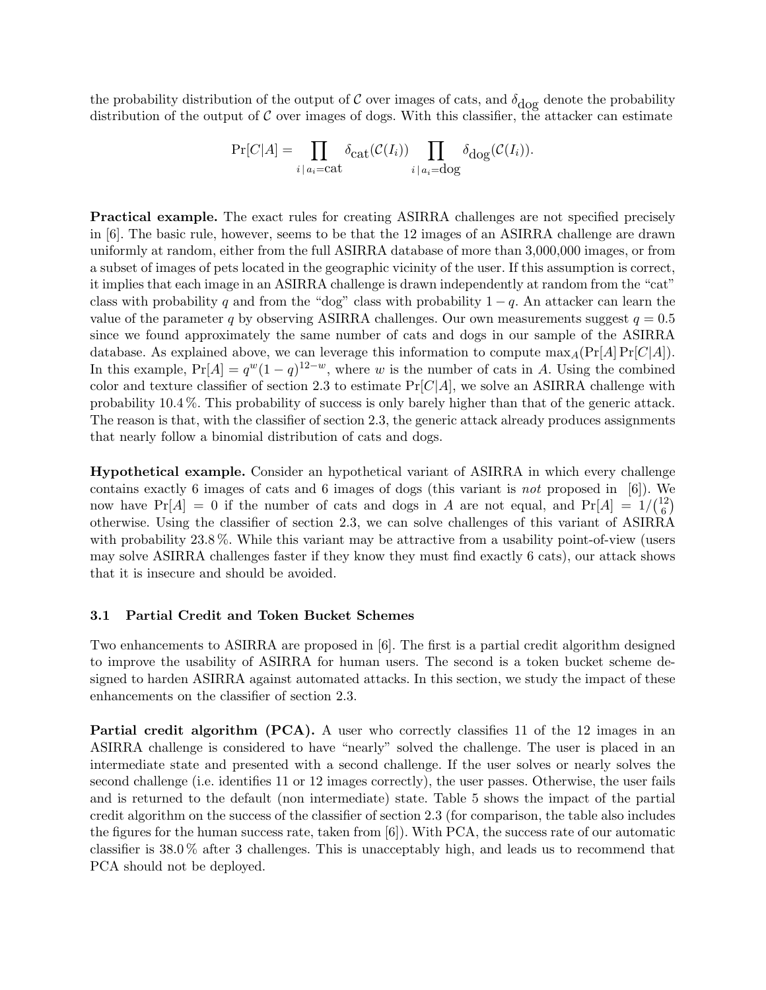the probability distribution of the output of  $C$  over images of cats, and  $\delta_{\text{dog}}$  denote the probability distribution of the output of  $\mathcal C$  over images of dogs. With this classifier, the attacker can estimate

$$
\Pr[C|A] = \prod_{i \mid a_i = \text{cat}} \delta_{\text{cat}}(\mathcal{C}(I_i)) \prod_{i \mid a_i = \text{dog}} \delta_{\text{dog}}(\mathcal{C}(I_i)).
$$

Practical example. The exact rules for creating ASIRRA challenges are not specified precisely in [6]. The basic rule, however, seems to be that the 12 images of an ASIRRA challenge are drawn uniformly at random, either from the full ASIRRA database of more than 3,000,000 images, or from a subset of images of pets located in the geographic vicinity of the user. If this assumption is correct, it implies that each image in an ASIRRA challenge is drawn independently at random from the "cat" class with probability q and from the "dog" class with probability  $1 - q$ . An attacker can learn the value of the parameter q by observing ASIRRA challenges. Our own measurements suggest  $q = 0.5$ since we found approximately the same number of cats and dogs in our sample of the ASIRRA database. As explained above, we can leverage this information to compute  $\max_A(\Pr[A] \Pr[C|A])$ . In this example,  $Pr[A] = q^w(1-q)^{12-w}$ , where w is the number of cats in A. Using the combined color and texture classifier of section 2.3 to estimate  $Pr[C|A]$ , we solve an ASIRRA challenge with probability 10.4 %. This probability of success is only barely higher than that of the generic attack. The reason is that, with the classifier of section 2.3, the generic attack already produces assignments that nearly follow a binomial distribution of cats and dogs.

Hypothetical example. Consider an hypothetical variant of ASIRRA in which every challenge contains exactly 6 images of cats and 6 images of dogs (this variant is not proposed in [6]). We now have  $Pr[A] = 0$  if the number of cats and dogs in A are not equal, and  $Pr[A] = 1/(1/2)$  $_{6}^{12})$ otherwise. Using the classifier of section 2.3, we can solve challenges of this variant of ASIRRA with probability 23.8%. While this variant may be attractive from a usability point-of-view (users may solve ASIRRA challenges faster if they know they must find exactly 6 cats), our attack shows that it is insecure and should be avoided.

#### 3.1 Partial Credit and Token Bucket Schemes

Two enhancements to ASIRRA are proposed in [6]. The first is a partial credit algorithm designed to improve the usability of ASIRRA for human users. The second is a token bucket scheme designed to harden ASIRRA against automated attacks. In this section, we study the impact of these enhancements on the classifier of section 2.3.

Partial credit algorithm (PCA). A user who correctly classifies 11 of the 12 images in an ASIRRA challenge is considered to have "nearly" solved the challenge. The user is placed in an intermediate state and presented with a second challenge. If the user solves or nearly solves the second challenge (i.e. identifies 11 or 12 images correctly), the user passes. Otherwise, the user fails and is returned to the default (non intermediate) state. Table 5 shows the impact of the partial credit algorithm on the success of the classifier of section 2.3 (for comparison, the table also includes the figures for the human success rate, taken from [6]). With PCA, the success rate of our automatic classifier is 38.0 % after 3 challenges. This is unacceptably high, and leads us to recommend that PCA should not be deployed.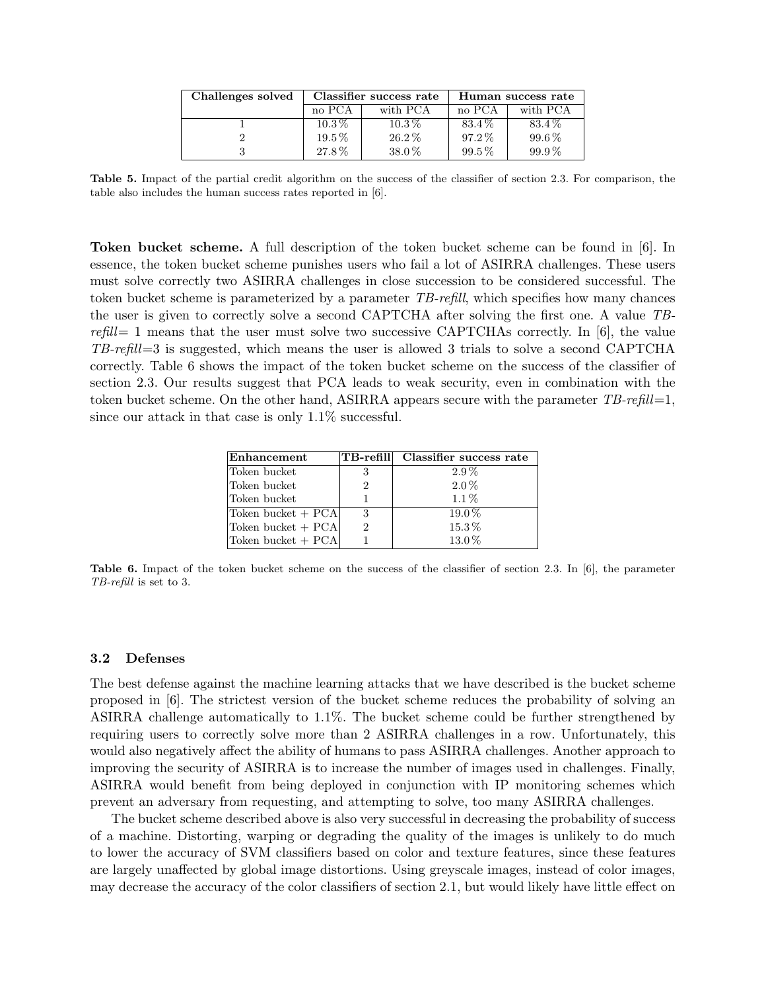| Challenges solved |            | Classifier success rate | Human success rate |            |  |
|-------------------|------------|-------------------------|--------------------|------------|--|
|                   | no PCA     | with PCA                | no PCA             | with PCA   |  |
|                   | $10.3\,\%$ | $10.3\,\%$              | 83.4%              | 83.4%      |  |
|                   | $19.5\%$   | 26.2%                   | $97.2\%$           | 99.6%      |  |
|                   | 27.8%      | $38.0\%$                | $99.5\%$           | $99.9\,\%$ |  |

Table 5. Impact of the partial credit algorithm on the success of the classifier of section 2.3. For comparison, the table also includes the human success rates reported in [6].

Token bucket scheme. A full description of the token bucket scheme can be found in [6]. In essence, the token bucket scheme punishes users who fail a lot of ASIRRA challenges. These users must solve correctly two ASIRRA challenges in close succession to be considered successful. The token bucket scheme is parameterized by a parameter TB-refill, which specifies how many chances the user is given to correctly solve a second CAPTCHA after solving the first one. A value TB $refill = 1$  means that the user must solve two successive CAPTCHAs correctly. In [6], the value  $TB\text{-}refill=3$  is suggested, which means the user is allowed 3 trials to solve a second CAPTCHA correctly. Table 6 shows the impact of the token bucket scheme on the success of the classifier of section 2.3. Our results suggest that PCA leads to weak security, even in combination with the token bucket scheme. On the other hand, ASIRRA appears secure with the parameter  $TB\text{-}refill=1$ , since our attack in that case is only 1.1% successful.

| Enhancement        |   | TB-refill Classifier success rate |
|--------------------|---|-----------------------------------|
| Token bucket       |   | $2.9\%$                           |
| Token bucket       |   | $2.0\%$                           |
| Token bucket       |   | $1.1\%$                           |
| Token bucket + PCA | 3 | $19.0\%$                          |
| Token bucket + PCA |   | $15.3\,\%$                        |
| Token bucket + PCA |   | 13.0%                             |

Table 6. Impact of the token bucket scheme on the success of the classifier of section 2.3. In [6], the parameter TB-refill is set to 3.

#### 3.2 Defenses

The best defense against the machine learning attacks that we have described is the bucket scheme proposed in [6]. The strictest version of the bucket scheme reduces the probability of solving an ASIRRA challenge automatically to 1.1%. The bucket scheme could be further strengthened by requiring users to correctly solve more than 2 ASIRRA challenges in a row. Unfortunately, this would also negatively affect the ability of humans to pass ASIRRA challenges. Another approach to improving the security of ASIRRA is to increase the number of images used in challenges. Finally, ASIRRA would benefit from being deployed in conjunction with IP monitoring schemes which prevent an adversary from requesting, and attempting to solve, too many ASIRRA challenges.

The bucket scheme described above is also very successful in decreasing the probability of success of a machine. Distorting, warping or degrading the quality of the images is unlikely to do much to lower the accuracy of SVM classifiers based on color and texture features, since these features are largely unaffected by global image distortions. Using greyscale images, instead of color images, may decrease the accuracy of the color classifiers of section 2.1, but would likely have little effect on